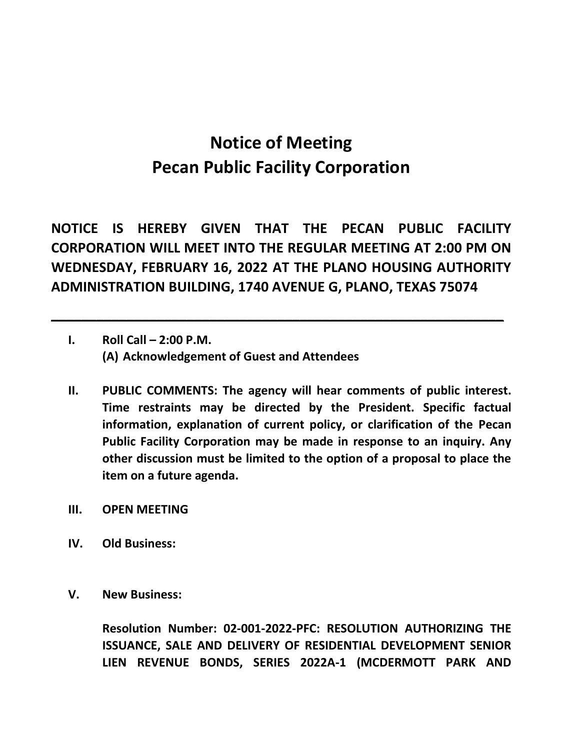## **Notice of Meeting Pecan Public Facility Corporation**

**NOTICE IS HEREBY GIVEN THAT THE PECAN PUBLIC FACILITY CORPORATION WILL MEET INTO THE REGULAR MEETING AT 2:00 PM ON WEDNESDAY, FEBRUARY 16, 2022 AT THE PLANO HOUSING AUTHORITY ADMINISTRATION BUILDING, 1740 AVENUE G, PLANO, TEXAS 75074**

**\_\_\_\_\_\_\_\_\_\_\_\_\_\_\_\_\_\_\_\_\_\_\_\_\_\_\_\_\_\_\_\_\_\_\_\_\_\_\_\_\_\_\_\_\_\_\_\_\_\_\_\_\_\_\_\_\_\_\_\_**

- **I. Roll Call 2:00 P.M. (A) Acknowledgement of Guest and Attendees**
- **II. PUBLIC COMMENTS: The agency will hear comments of public interest. Time restraints may be directed by the President. Specific factual information, explanation of current policy, or clarification of the Pecan Public Facility Corporation may be made in response to an inquiry. Any other discussion must be limited to the option of a proposal to place the item on a future agenda.**
- **III. OPEN MEETING**
- **IV. Old Business:**
- **V. New Business:**

**Resolution Number: 02-001-2022-PFC: RESOLUTION AUTHORIZING THE ISSUANCE, SALE AND DELIVERY OF RESIDENTIAL DEVELOPMENT SENIOR LIEN REVENUE BONDS, SERIES 2022A-1 (MCDERMOTT PARK AND**